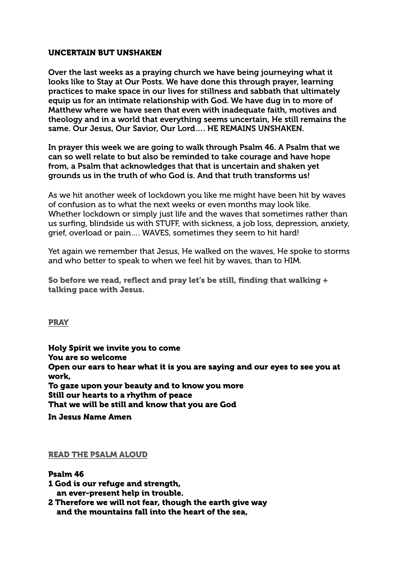## UNCERTAIN BUT UNSHAKEN

Over the last weeks as a praying church we have being journeying what it looks like to Stay at Our Posts. We have done this through prayer, learning practices to make space in our lives for stillness and sabbath that ultimately equip us for an intimate relationship with God. We have dug in to more of Matthew where we have seen that even with inadequate faith, motives and theology and in a world that everything seems uncertain, He still remains the same. Our Jesus, Our Savior, Our Lord…. HE REMAINS UNSHAKEN.

In prayer this week we are going to walk through Psalm 46. A Psalm that we can so well relate to but also be reminded to take courage and have hope from, a Psalm that acknowledges that that is uncertain and shaken yet grounds us in the truth of who God is. And that truth transforms us!

As we hit another week of lockdown you like me might have been hit by waves of confusion as to what the next weeks or even months may look like. Whether lockdown or simply just life and the waves that sometimes rather than us surfing, blindside us with STUFF, with sickness, a job loss, depression, anxiety, grief, overload or pain…. WAVES, sometimes they seem to hit hard!

Yet again we remember that Jesus, He walked on the waves, He spoke to storms and who better to speak to when we feel hit by waves, than to HIM.

So before we read, reflect and pray let's be still, finding that walking + talking pace with Jesus.

**PRAY** 

Holy Spirit we invite you to come You are so welcome Open our ears to hear what it is you are saying and our eyes to see you at work, To gaze upon your beauty and to know you more Still our hearts to a rhythm of peace That we will be still and know that you are God

In Jesus Name Amen

#### READ THE PSALM ALOUD

# Psalm 46

- 1 God is our refuge and strength, an ever-present help in trouble.
- 2 Therefore we will not fear, though the earth give way and the mountains fall into the heart of the sea,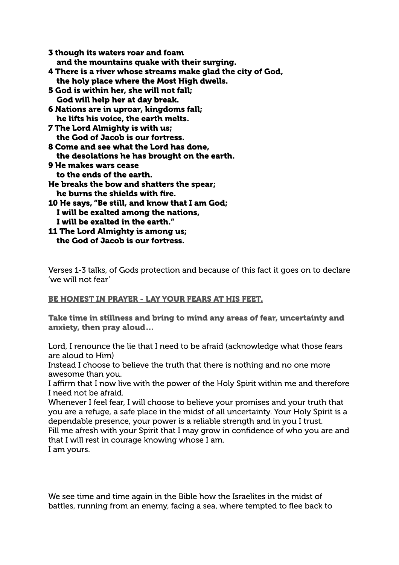| 3 though its waters roar and foam                           |
|-------------------------------------------------------------|
| and the mountains quake with their surging.                 |
| 4 There is a river whose streams make glad the city of God, |
| the holy place where the Most High dwells.                  |
| 5 God is within her, she will not fall;                     |
| God will help her at day break.                             |
| 6 Nations are in uproar, kingdoms fall;                     |
| he lifts his voice, the earth melts.                        |
| <b>7 The Lord Almighty is with us;</b>                      |
| the God of Jacob is our fortress.                           |
| 8 Come and see what the Lord has done,                      |
| the desolations he has brought on the earth.                |
| <b>9 He makes wars cease</b>                                |
| to the ends of the earth.                                   |
| He breaks the bow and shatters the spear;                   |
| he burns the shields with fire.                             |
| <b>10 He says, "Be still, and know that I am God;</b>       |
| I will be exalted among the nations,                        |
| I will be exalted in the earth."                            |
| <b>11 The Lord Almighty is among us;</b>                    |
| the God of Jacob is our fortress.                           |

Verses 1-3 talks, of Gods protection and because of this fact it goes on to declare 'we will not fear'

## BE HONEST IN PRAYER - LAY YOUR FEARS AT HIS FEET.

Take time in stillness and bring to mind any areas of fear, uncertainty and anxiety, then pray aloud…

Lord, I renounce the lie that I need to be afraid (acknowledge what those fears are aloud to Him)

Instead I choose to believe the truth that there is nothing and no one more awesome than you.

I affirm that I now live with the power of the Holy Spirit within me and therefore I need not be afraid.

Whenever I feel fear, I will choose to believe your promises and your truth that you are a refuge, a safe place in the midst of all uncertainty. Your Holy Spirit is a dependable presence, your power is a reliable strength and in you I trust. Fill me afresh with your Spirit that I may grow in confidence of who you are and that I will rest in courage knowing whose I am. I am yours.

We see time and time again in the Bible how the Israelites in the midst of battles, running from an enemy, facing a sea, where tempted to flee back to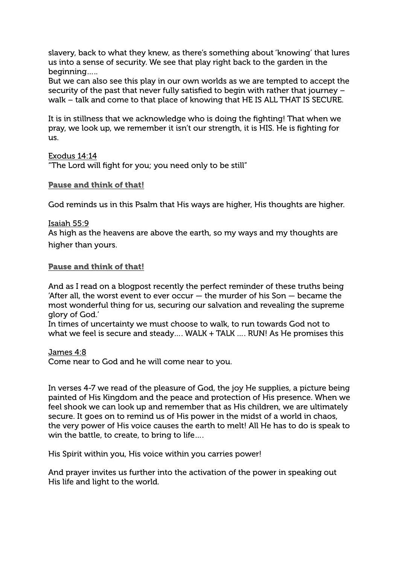slavery, back to what they knew, as there's something about 'knowing' that lures us into a sense of security. We see that play right back to the garden in the beginning…..

But we can also see this play in our own worlds as we are tempted to accept the security of the past that never fully satisfied to begin with rather that journey – walk – talk and come to that place of knowing that HE IS ALL THAT IS SECURE.

It is in stillness that we acknowledge who is doing the fighting! That when we pray, we look up, we remember it isn't our strength, it is HIS. He is fighting for us.

Exodus 14:14 "The Lord will fight for you; you need only to be still"

### Pause and think of that!

God reminds us in this Psalm that His ways are higher, His thoughts are higher.

### Isaiah 55:9

As high as the heavens are above the earth, so my ways and my thoughts are higher than yours.

## Pause and think of that!

And as I read on a blogpost recently the perfect reminder of these truths being 'After all, the worst event to ever occur  $-$  the murder of his Son  $-$  became the most wonderful thing for us, securing our salvation and revealing the supreme glory of God.'

In times of uncertainty we must choose to walk, to run towards God not to what we feel is secure and steady.... WALK + TALK .... RUN! As He promises this

James 4:8 Come near to God and he will come near to you.

In verses 4-7 we read of the pleasure of God, the joy He supplies, a picture being painted of His Kingdom and the peace and protection of His presence. When we feel shook we can look up and remember that as His children, we are ultimately secure. It goes on to remind us of His power in the midst of a world in chaos, the very power of His voice causes the earth to melt! All He has to do is speak to win the battle, to create, to bring to life….

His Spirit within you, His voice within you carries power!

And prayer invites us further into the activation of the power in speaking out His life and light to the world.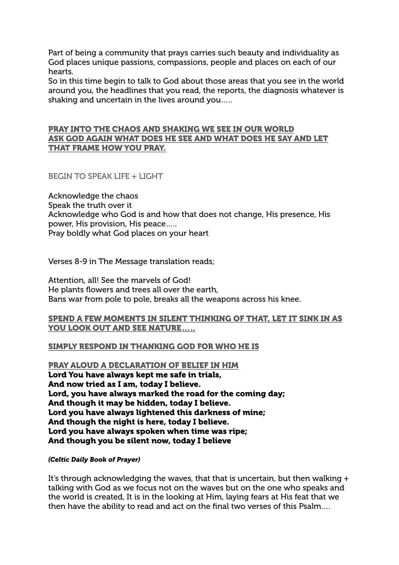Part of being a community that prays carries such beauty and individuality as God places unique passions, compassions, people and places on each of our hearts.

So in this time begin to talk to God about those areas that you see in the world around you, the headlines that you read, the reports, the diagnosis whatever is shaking and uncertain in the lives around you…..

#### PRAY INTO THE CHAOS AND SHAKING WE SEE IN OUR WORLD ASK GOD AGAIN WHAT DOES HE SEE AND WHAT DOES HE SAY AND LET THAT FRAME HOW YOU PRAY.

BEGIN TO SPEAK LIFE + LIGHT

Acknowledge the chaos Speak the truth over it Acknowledge who God is and how that does not change, His presence, His power, His provision, His peace….. Pray boldly what God places on your heart

Verses 8-9 in The Message translation reads;

Attention, all! See the marvels of God! He plants flowers and trees all over the earth, Bans war from pole to pole, breaks all the weapons across his knee.

### SPEND A FEW MOMENTS IN SILENT THINKING OF THAT, LET IT SINK IN AS YOU LOOK OUT AND SEE NATURE.....

## SIMPLY RESPOND IN THANKING GOD FOR WHO HE IS

PRAY ALOUD A DECLARATION OF BELIEF IN HIM Lord You have always kept me safe in trials, And now tried as I am, today I believe. Lord, you have always marked the road for the coming day; And though it may be hidden, today I believe. Lord you have always lightened this darkness of mine; And though the night is here, today I believe. Lord you have always spoken when time was ripe; And though you be silent now, today I believe

#### *(Celtic Daily Book of Prayer)*

It's through acknowledging the waves, that that is uncertain, but then walking + talking with God as we focus not on the waves but on the one who speaks and the world is created, It is in the looking at Him, laying fears at His feat that we then have the ability to read and act on the final two verses of this Psalm….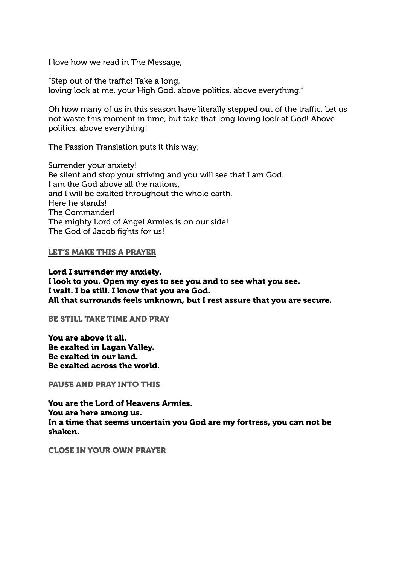I love how we read in The Message;

"Step out of the traffic! Take a long, loving look at me, your High God, above politics, above everything."

Oh how many of us in this season have literally stepped out of the traffic. Let us not waste this moment in time, but take that long loving look at God! Above politics, above everything!

The Passion Translation puts it this way;

Surrender your anxiety! Be silent and stop your striving and you will see that I am God. I am the God above all the nations, and I will be exalted throughout the whole earth. Here he stands! The Commander! The mighty Lord of Angel Armies is on our side! The God of Jacob fights for us!

#### LET'S MAKE THIS A PRAYER

Lord I surrender my anxiety. I look to you. Open my eyes to see you and to see what you see. I wait. I be still. I know that you are God. All that surrounds feels unknown, but I rest assure that you are secure.

BE STILL TAKE TIME AND PRAY

You are above it all. Be exalted in Lagan Valley. Be exalted in our land. Be exalted across the world.

PAUSE AND PRAY INTO THIS

You are the Lord of Heavens Armies. You are here among us. In a time that seems uncertain you God are my fortress, you can not be shaken.

CLOSE IN YOUR OWN PRAYER